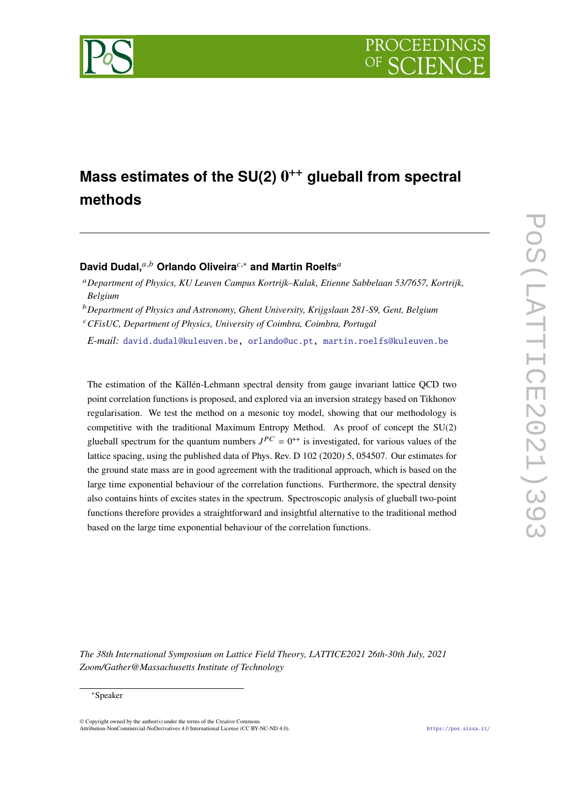

# **Mass estimates of the SU(2) 0** ++ **glueball from spectral methods**

# David Dudal,<sup>*a,b*</sup> Orlando Oliveira<sup> $c,∗$ </sup> and Martin Roelfs<sup>*a*</sup>

*CFisUC, Department of Physics, University of Coimbra, Coimbra, Portugal*

*E-mail:* [david.dudal@kuleuven.be,](mailto:david.dudal@kuleuven.be) [orlando@uc.pt,](mailto:orlando@uc.pt) [martin.roelfs@kuleuven.be](mailto:martin.roelfs@kuleuven.be)

The estimation of the Källén-Lehmann spectral density from gauge invariant lattice QCD two point correlation functions is proposed, and explored via an inversion strategy based on Tikhonov regularisation. We test the method on a mesonic toy model, showing that our methodology is competitive with the traditional Maximum Entropy Method. As proof of concept the SU(2) glueball spectrum for the quantum numbers  $J^{PC} = 0^{++}$  is investigated, for various values of the lattice spacing, using the published data of Phys. Rev. D 102 (2020) 5, 054507. Our estimates for the ground state mass are in good agreement with the traditional approach, which is based on the large time exponential behaviour of the correlation functions. Furthermore, the spectral density also contains hints of excites states in the spectrum. Spectroscopic analysis of glueball two-point functions therefore provides a straightforward and insightful alternative to the traditional method based on the large time exponential behaviour of the correlation functions.

*The 38th International Symposium on Lattice Field Theory, LATTICE2021 26th-30th July, 2021 Zoom/Gather@Massachusetts Institute of Technology*

#### <sup>∗</sup>Speaker

 $\odot$  Copyright owned by the author(s) under the terms of the Creative Common Attribution-NonCommercial-NoDerivatives 4.0 International License (CC BY-NC-ND 4.0). <https://pos.sissa.it/>

*Department of Physics, KU Leuven Campus Kortrijk–Kulak, Etienne Sabbelaan 53/7657, Kortrijk, Belgium*

*Department of Physics and Astronomy, Ghent University, Krijgslaan 281-S9, Gent, Belgium*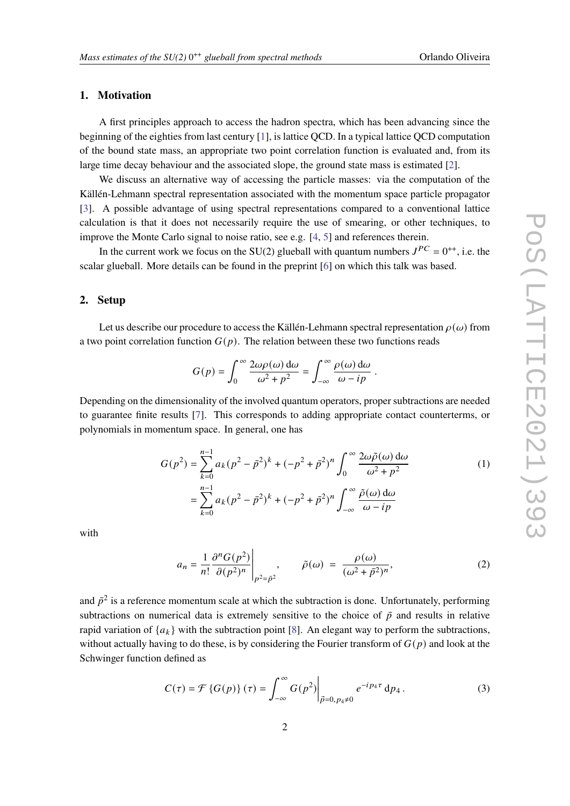## **1. Motivation**

A first principles approach to access the hadron spectra, which has been advancing since the beginning of the eighties from last century [\[1\]](#page-7-0), is lattice QCD. In a typical lattice QCD computation of the bound state mass, an appropriate two point correlation function is evaluated and, from its large time decay behaviour and the associated slope, the ground state mass is estimated [\[2\]](#page-7-1).

We discuss an alternative way of accessing the particle masses: via the computation of the Källén-Lehmann spectral representation associated with the momentum space particle propagator [\[3\]](#page-7-2). A possible advantage of using spectral representations compared to a conventional lattice calculation is that it does not necessarily require the use of smearing, or other techniques, to improve the Monte Carlo signal to noise ratio, see e.g. [\[4,](#page-7-3) [5\]](#page-7-4) and references therein.

In the current work we focus on the SU(2) glueball with quantum numbers  $J^{PC} = 0^{++}$ , i.e. the scalar glueball. More details can be found in the preprint [\[6\]](#page-7-5) on which this talk was based.

### **2. Setup**

Let us describe our procedure to access the Källén-Lehmann spectral representation  $\rho(\omega)$  from a two point correlation function  $G(p)$ . The relation between these two functions reads

<span id="page-1-0"></span>
$$
G(p) = \int_0^\infty \frac{2\omega \rho(\omega) d\omega}{\omega^2 + p^2} = \int_{-\infty}^\infty \frac{\rho(\omega) d\omega}{\omega - ip}.
$$

Depending on the dimensionality of the involved quantum operators, proper subtractions are needed to guarantee finite results [\[7\]](#page-7-6). This corresponds to adding appropriate contact counterterms, or polynomials in momentum space. In general, one has

$$
G(p^2) = \sum_{k=0}^{n-1} a_k (p^2 - \bar{p}^2)^k + (-p^2 + \bar{p}^2)^n \int_0^\infty \frac{2\omega \tilde{\rho}(\omega) d\omega}{\omega^2 + p^2}
$$
  
= 
$$
\sum_{k=0}^{n-1} a_k (p^2 - \bar{p}^2)^k + (-p^2 + \bar{p}^2)^n \int_{-\infty}^\infty \frac{\tilde{\rho}(\omega) d\omega}{\omega - ip}
$$
 (1)

with

<span id="page-1-1"></span>
$$
a_n = \frac{1}{n!} \frac{\partial^n G(p^2)}{\partial (p^2)^n} \bigg|_{p^2 = \bar{p}^2}, \qquad \tilde{\rho}(\omega) = \frac{\rho(\omega)}{(\omega^2 + \bar{p}^2)^n},
$$
 (2)

and  $\bar{p}^2$  is a reference momentum scale at which the subtraction is done. Unfortunately, performing subtractions on numerical data is extremely sensitive to the choice of  $\bar{p}$  and results in relative rapid variation of  $\{a_k\}$  with the subtraction point [\[8\]](#page-7-7). An elegant way to perform the subtractions, without actually having to do these, is by considering the Fourier transform of  $G(p)$  and look at the Schwinger function defined as

$$
C(\tau) = \mathcal{F}\left\{G(p)\right\}(\tau) = \int_{-\infty}^{\infty} G(p^2) \Big|_{\vec{p}=0, p_4 \neq 0} e^{-ip_4 \tau} dp_4.
$$
 (3)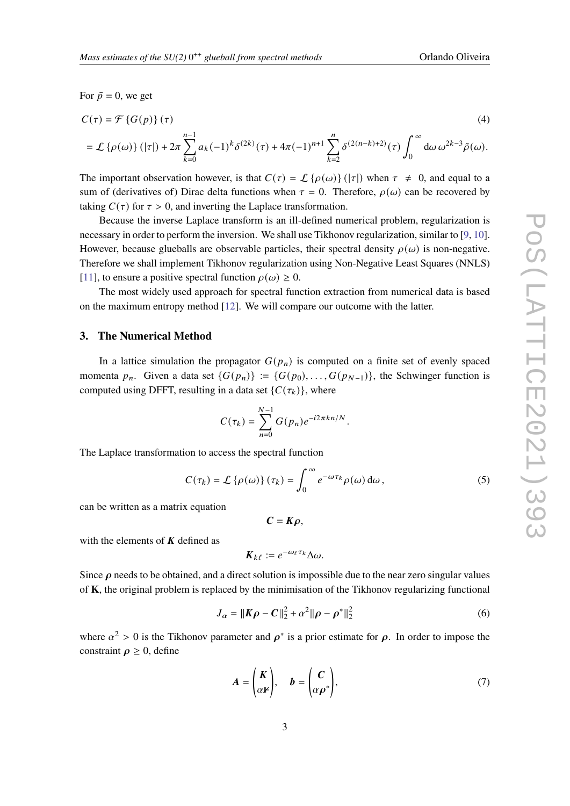For  $\bar{p} = 0$ , we get

$$
C(\tau) = \mathcal{F}\left\{G(p)\right\}(\tau)
$$
\n
$$
= \mathcal{L}\left\{\rho(\omega)\right\}(|\tau|) + 2\pi \sum_{k=0}^{n-1} a_k (-1)^k \delta^{(2k)}(\tau) + 4\pi (-1)^{n+1} \sum_{k=2}^n \delta^{(2(n-k)+2)}(\tau) \int_0^\infty d\omega \, \omega^{2k-3} \tilde{\rho}(\omega).
$$
\n(4)

The important observation however, is that  $C(\tau) = \mathcal{L} {\{\rho(\omega)\} } (|\tau|)$  when  $\tau \neq 0$ , and equal to a sum of (derivatives of) Dirac delta functions when  $\tau = 0$ . Therefore,  $\rho(\omega)$  can be recovered by taking  $C(\tau)$  for  $\tau > 0$ , and inverting the Laplace transformation.

Because the inverse Laplace transform is an ill-defined numerical problem, regularization is necessary in order to perform the inversion. We shall use Tikhonov regularization, similar to [\[9,](#page-7-8) [10\]](#page-7-9). However, because glueballs are observable particles, their spectral density  $\rho(\omega)$  is non-negative. Therefore we shall implement Tikhonov regularization using Non-Negative Least Squares (NNLS) [\[11\]](#page-7-10), to ensure a positive spectral function  $\rho(\omega) \ge 0$ .

The most widely used approach for spectral function extraction from numerical data is based on the maximum entropy method [\[12\]](#page-8-0). We will compare our outcome with the latter.

## <span id="page-2-0"></span>**3. The Numerical Method**

In a lattice simulation the propagator  $G(p_n)$  is computed on a finite set of evenly spaced momenta  $p_n$ . Given a data set  $\{G(p_n)\} := \{G(p_0), \ldots, G(p_{N-1})\}$ , the Schwinger function is computed using DFFT, resulting in a data set  $\{C(\tau_k)\}\)$ , where

$$
C(\tau_k) = \sum_{n=0}^{N-1} G(p_n) e^{-i2\pi k n/N}.
$$

The Laplace transformation to access the spectral function

$$
C(\tau_k) = \mathcal{L}\left\{\rho(\omega)\right\}(\tau_k) = \int_0^\infty e^{-\omega \tau_k} \rho(\omega) d\omega, \qquad (5)
$$

can be written as a matrix equation

$$
C=K\rho,
$$

with the elements of  $K$  defined as

$$
\mathbf{K}_{k\ell} := e^{-\omega_{\ell} \tau_k} \Delta \omega.
$$

Since  $\rho$  needs to be obtained, and a direct solution is impossible due to the near zero singular values of **K**, the original problem is replaced by the minimisation of the Tikhonov regularizing functional

$$
J_{\alpha} = ||K\rho - C||_2^2 + \alpha^2 ||\rho - \rho^*||_2^2
$$
 (6)

where  $\alpha^2 > 0$  is the Tikhonov parameter and  $\rho^*$  is a prior estimate for  $\rho$ . In order to impose the constraint  $\rho \geq 0$ , define

$$
A = \begin{pmatrix} K \\ \alpha \mathbb{1} \end{pmatrix}, \quad b = \begin{pmatrix} C \\ \alpha \rho^* \end{pmatrix}, \tag{7}
$$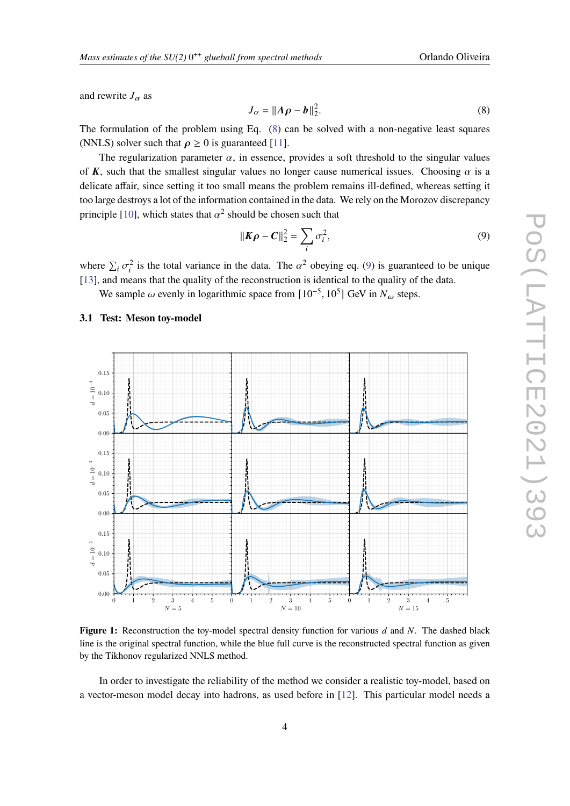and rewrite  $J_{\alpha}$  as

<span id="page-3-0"></span>
$$
J_{\alpha} = ||A\rho - b||_2^2. \tag{8}
$$

The formulation of the problem using Eq. [\(8\)](#page-3-0) can be solved with a non-negative least squares (NNLS) solver such that  $\rho \ge 0$  is guaranteed [\[11\]](#page-7-10).

The regularization parameter  $\alpha$ , in essence, provides a soft threshold to the singular values of K, such that the smallest singular values no longer cause numerical issues. Choosing  $\alpha$  is a delicate affair, since setting it too small means the problem remains ill-defined, whereas setting it too large destroys a lot of the information contained in the data. We rely on the Morozov discrepancy principle [\[10\]](#page-7-9), which states that  $\alpha^2$  should be chosen such that

<span id="page-3-1"></span>
$$
\|K\rho - C\|_2^2 = \sum_i \sigma_i^2,\tag{9}
$$

where  $\sum_i \sigma_i^2$  is the total variance in the data. The  $\alpha^2$  obeying eq. [\(9\)](#page-3-1) is guaranteed to be unique [\[13\]](#page-8-1), and means that the quality of the reconstruction is identical to the quality of the data.

We sample  $\omega$  evenly in logarithmic space from  $[10^{-5}, 10^5]$  GeV in  $N_{\omega}$  steps.

# <span id="page-3-3"></span>**3.1 Test: Meson toy-model**

<span id="page-3-2"></span>

**Figure 1:** Reconstruction the toy-model spectral density function for various d and N. The dashed black line is the original spectral function, while the blue full curve is the reconstructed spectral function as given by the Tikhonov regularized NNLS method.

In order to investigate the reliability of the method we consider a realistic toy-model, based on a vector-meson model decay into hadrons, as used before in [\[12\]](#page-8-0). This particular model needs a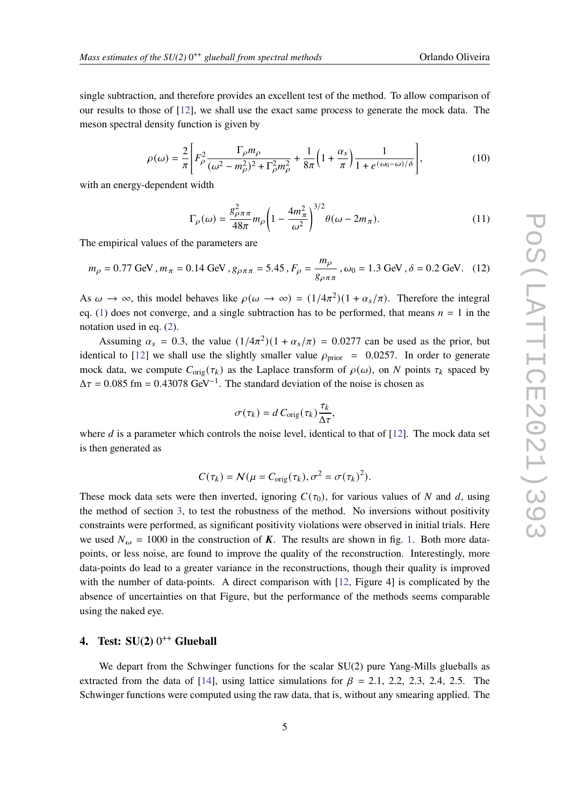single subtraction, and therefore provides an excellent test of the method. To allow comparison of our results to those of [\[12\]](#page-8-0), we shall use the exact same process to generate the mock data. The meson spectral density function is given by

$$
\rho(\omega) = \frac{2}{\pi} \left[ F_{\rho}^2 \frac{\Gamma_{\rho} m_{\rho}}{(\omega^2 - m_{\rho}^2)^2 + \Gamma_{\rho}^2 m_{\rho}^2} + \frac{1}{8\pi} \left( 1 + \frac{\alpha_s}{\pi} \right) \frac{1}{1 + e^{(\omega_0 - \omega)/\delta}} \right],\tag{10}
$$

with an energy-dependent width

$$
\Gamma_{\rho}(\omega) = \frac{g_{\rho\pi\pi}^2}{48\pi} m_{\rho} \left( 1 - \frac{4m_{\pi}^2}{\omega^2} \right)^{3/2} \theta(\omega - 2m_{\pi}).
$$
\n(11)

The empirical values of the parameters are

$$
m_{\rho} = 0.77 \text{ GeV}
$$
,  $m_{\pi} = 0.14 \text{ GeV}$ ,  $g_{\rho \pi \pi} = 5.45$ ,  $F_{\rho} = \frac{m_{\rho}}{g_{\rho \pi \pi}}$ ,  $\omega_0 = 1.3 \text{ GeV}$ ,  $\delta = 0.2 \text{ GeV}$ . (12)

As  $\omega \to \infty$ , this model behaves like  $\rho(\omega \to \infty) = (1/4\pi^2)(1 + \alpha_s/\pi)$ . Therefore the integral eq. [\(1\)](#page-1-0) does not converge, and a single subtraction has to be performed, that means  $n = 1$  in the notation used in eq. [\(2\)](#page-1-1).

Assuming  $\alpha_s = 0.3$ , the value  $(1/4\pi^2)(1 + \alpha_s/\pi) = 0.0277$  can be used as the prior, but identical to [\[12\]](#page-8-0) we shall use the slightly smaller value  $\rho_{\text{prior}} = 0.0257$ . In order to generate mock data, we compute  $C_{\text{orig}}(\tau_k)$  as the Laplace transform of  $\rho(\omega)$ , on N points  $\tau_k$  spaced by  $\Delta \tau = 0.085$  fm = 0.43078 GeV<sup>-1</sup>. The standard deviation of the noise is chosen as

$$
\sigma(\tau_k) = d C_{\text{orig}}(\tau_k) \frac{\tau_k}{\Delta \tau},
$$

where  $d$  is a parameter which controls the noise level, identical to that of  $[12]$ . The mock data set is then generated as

$$
C(\tau_k) = N(\mu = C_{\text{orig}}(\tau_k), \sigma^2 = \sigma(\tau_k)^2).
$$

These mock data sets were then inverted, ignoring  $C(\tau_0)$ , for various values of N and d, using the method of section [3,](#page-2-0) to test the robustness of the method. No inversions without positivity constraints were performed, as significant positivity violations were observed in initial trials. Here we used  $N_{\omega} = 1000$  in the construction of K. The results are shown in fig. [1.](#page-3-2) Both more datapoints, or less noise, are found to improve the quality of the reconstruction. Interestingly, more data-points do lead to a greater variance in the reconstructions, though their quality is improved with the number of data-points. A direct comparison with [\[12,](#page-8-0) Figure 4] is complicated by the absence of uncertainties on that Figure, but the performance of the methods seems comparable using the naked eye.

# **4.** Test:  $SU(2)$  0<sup>++</sup> Glueball

We depart from the Schwinger functions for the scalar SU(2) pure Yang-Mills glueballs as extracted from the data of [\[14\]](#page-8-2), using lattice simulations for  $\beta = 2.1, 2.2, 2.3, 2.4, 2.5$ . The Schwinger functions were computed using the raw data, that is, without any smearing applied. The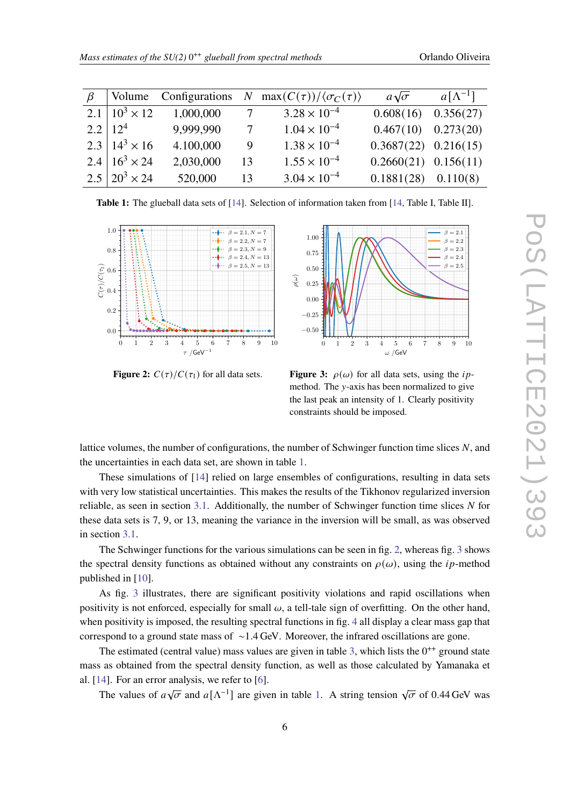| Orlando Oliveira |  |
|------------------|--|
|                  |  |

<span id="page-5-0"></span>

| $\beta$ | Volume                    |             |                 | Configurations N max $(C(\tau))/\langle \sigma_C(\tau) \rangle$ | $a\sqrt{\sigma}$         | $a[\Lambda^{-1}]$ |
|---------|---------------------------|-------------|-----------------|-----------------------------------------------------------------|--------------------------|-------------------|
|         | 2.1   $10^3 \times 12$    | 1,000,000 7 |                 | $3.28 \times 10^{-4}$                                           | $0.608(16)$ $0.356(27)$  |                   |
|         | $2.2 \mid 12^4$           | 9,999,990   | $7\overline{ }$ | $1.04 \times 10^{-4}$                                           | $0.467(10)$ $0.273(20)$  |                   |
|         | $2.3 \mid 14^3 \times 16$ | 4.100,000   | 9               | $1.38 \times 10^{-4}$                                           | $0.3687(22)$ $0.216(15)$ |                   |
|         | 2.4 $16^3 \times 24$      | 2,030,000   | 13              | $1.55 \times 10^{-4}$                                           | $0.2660(21)$ $0.156(11)$ |                   |
|         | $2.5 \mid 20^3 \times 24$ | 520,000     | 13              | $3.04 \times 10^{-4}$                                           | $0.1881(28)$ $0.110(8)$  |                   |

**Table 1:** The glueball data sets of [\[14\]](#page-8-2). Selection of information taken from [\[14,](#page-8-2) Table I, Table II].

<span id="page-5-1"></span>

**Figure 2:**  $C(\tau)/C(\tau_1)$  for all data sets.



**Figure 3:**  $\rho(\omega)$  for all data sets, using the *ip*method. The *v*-axis has been normalized to give the last peak an intensity of 1. Clearly positivity constraints should be imposed.

lattice volumes, the number of configurations, the number of Schwinger function time slices  $N$ , and the uncertainties in each data set, are shown in table [1.](#page-5-0)

These simulations of [\[14\]](#page-8-2) relied on large ensembles of configurations, resulting in data sets with very low statistical uncertainties. This makes the results of the Tikhonov regularized inversion reliable, as seen in section [3.1.](#page-3-3) Additionally, the number of Schwinger function time slices  $N$  for these data sets is 7, 9, or 13, meaning the variance in the inversion will be small, as was observed in section [3.1.](#page-3-3)

The Schwinger functions for the various simulations can be seen in fig. [2,](#page-5-1) whereas fig. [3](#page-5-1) shows the spectral density functions as obtained without any constraints on  $\rho(\omega)$ , using the *ip*-method published in [\[10\]](#page-7-9).

As fig. [3](#page-5-1) illustrates, there are significant positivity violations and rapid oscillations when positivity is not enforced, especially for small  $\omega$ , a tell-tale sign of overfitting. On the other hand, when positivity is imposed, the resulting spectral functions in fig. [4](#page-6-0) all display a clear mass gap that correspond to a ground state mass of ∼1.4 GeV. Moreover, the infrared oscillations are gone.

The estimated (central value) mass values are given in table [3,](#page-6-1) which lists the  $0^{++}$  ground state mass as obtained from the spectral density function, as well as those calculated by Yamanaka et al. [\[14\]](#page-8-2). For an error analysis, we refer to [\[6\]](#page-7-5).

The values of  $a\sqrt{\sigma}$  and  $a[\Lambda^{-1}]$  are given in table [1.](#page-5-0) A string tension  $\sqrt{\sigma}$  of 0.44 GeV was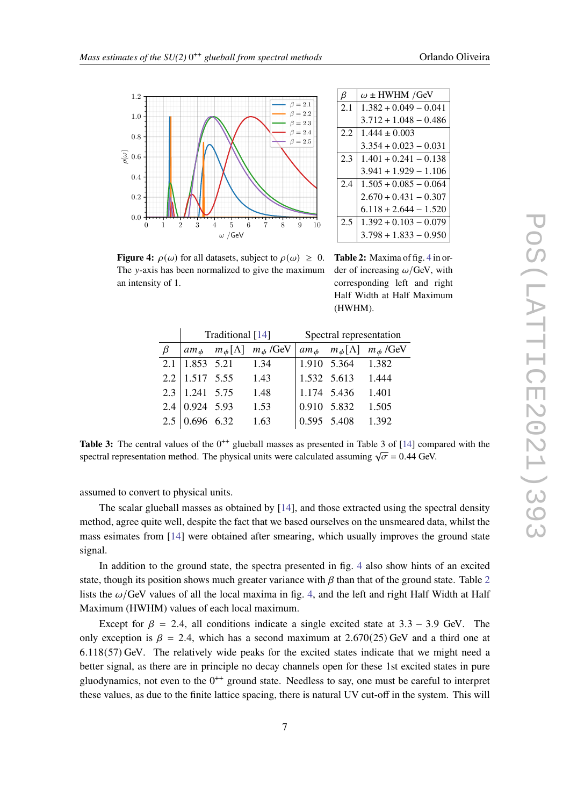<span id="page-6-0"></span>

 $2.4 \mid 1.505 + 0.085 - 0.064$  $2.670 + 0.431 - 0.307$  $6.118 + 2.644 - 1.520$  $2.5 \mid 1.392 + 0.103 - 0.079$ 3.798 + 1.833 − 0.950

 $\beta$   $\omega$  ± HWHM /GeV  $2.1 \overline{)1.382 + 0.049 - 0.041}$ 3.712 + 1.048 − 0.486

 $3.354 + 0.023 - 0.031$  $2.3 \mid 1.401 + 0.241 - 0.138$ 3.941 + 1.929 − 1.106

 $2.2$  1.444  $\pm$  0.003

<span id="page-6-1"></span>**Figure 4:**  $\rho(\omega)$  for all datasets, subject to  $\rho(\omega) > 0$ . The  $v$ -axis has been normalized to give the maximum an intensity of 1.

**Table 2:** Maxima of fig. [4](#page-6-0) in order of increasing  $\omega$ /GeV, with corresponding left and right Half Width at Half Maximum (HWHM).

|         |                             | Traditional [14]                       |                                                                                                                                                 | Spectral representation |                   |       |
|---------|-----------------------------|----------------------------------------|-------------------------------------------------------------------------------------------------------------------------------------------------|-------------------------|-------------------|-------|
| $\beta$ |                             |                                        | am <sub><math>\phi</math></sub> $m_{\phi}[\Lambda]$ $m_{\phi}$ /GeV $\vert$ am <sub><math>\phi</math></sub> $m_{\phi}[\Lambda]$ $m_{\phi}$ /GeV |                         |                   |       |
|         | $2.1 \mid 1.853 \mid 5.21$  |                                        | 1.34                                                                                                                                            |                         | 1.910 5.364 1.382 |       |
|         |                             | $2.2 \mid 1.517 \quad 5.55 \quad 1.43$ |                                                                                                                                                 |                         | 1.532 5.613 1.444 |       |
|         | $2.3 \mid 1.241 \quad 5.75$ |                                        | 1.48                                                                                                                                            | 1.174 5.436             |                   | 1.401 |
|         | $2.4 \mid 0.924 \mid 5.93$  |                                        | 1.53                                                                                                                                            | 0.910 5.832             |                   | 1.505 |
|         | $2.5 \mid 0.696 \quad 6.32$ |                                        | 1.63                                                                                                                                            |                         | 0.595 5.408 1.392 |       |

Table 3: The central values of the 0<sup>++</sup> glueball masses as presented in Table 3 of [\[14\]](#page-8-2) compared with the spectral representation method. The physical units were calculated assuming  $\sqrt{\sigma} = 0.44$  GeV.

assumed to convert to physical units.

The scalar glueball masses as obtained by [\[14\]](#page-8-2), and those extracted using the spectral density method, agree quite well, despite the fact that we based ourselves on the unsmeared data, whilst the mass esimates from [\[14\]](#page-8-2) were obtained after smearing, which usually improves the ground state signal.

In addition to the ground state, the spectra presented in fig. [4](#page-6-0) also show hints of an excited state, though its position shows much greater variance with  $\beta$  than that of the ground state. Table [2](#page-6-0) lists the  $\omega$ /GeV values of all the local maxima in fig. [4,](#page-6-0) and the left and right Half Width at Half Maximum (HWHM) values of each local maximum.

Except for  $\beta = 2.4$ , all conditions indicate a single excited state at 3.3 – 3.9 GeV. The only exception is  $\beta = 2.4$ , which has a second maximum at 2.670(25) GeV and a third one at 6.118(57) GeV. The relatively wide peaks for the excited states indicate that we might need a better signal, as there are in principle no decay channels open for these 1st excited states in pure gluodynamics, not even to the  $0^{++}$  ground state. Needless to say, one must be careful to interpret these values, as due to the finite lattice spacing, there is natural UV cut-off in the system. This will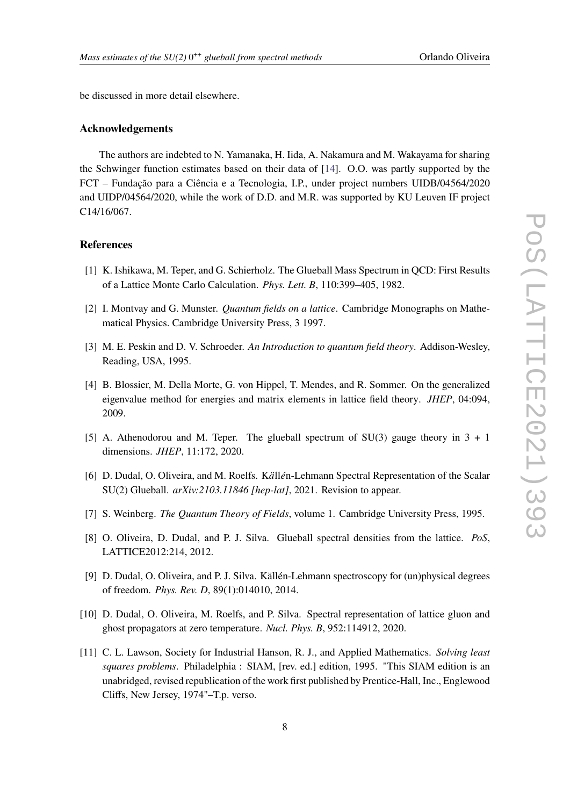be discussed in more detail elsewhere.

#### **Acknowledgements**

The authors are indebted to N. Yamanaka, H. Iida, A. Nakamura and M. Wakayama for sharing the Schwinger function estimates based on their data of [\[14\]](#page-8-2). O.O. was partly supported by the FCT – Fundação para a Ciência e a Tecnologia, I.P., under project numbers UIDB/04564/2020 and UIDP/04564/2020, while the work of D.D. and M.R. was supported by KU Leuven IF project C14/16/067.

### **References**

- <span id="page-7-0"></span>[1] K. Ishikawa, M. Teper, and G. Schierholz. The Glueball Mass Spectrum in QCD: First Results of a Lattice Monte Carlo Calculation. *Phys. Lett. B*, 110:399–405, 1982.
- <span id="page-7-1"></span>[2] I. Montvay and G. Munster. *Quantum fields on a lattice*. Cambridge Monographs on Mathematical Physics. Cambridge University Press, 3 1997.
- <span id="page-7-2"></span>[3] M. E. Peskin and D. V. Schroeder. *An Introduction to quantum field theory*. Addison-Wesley, Reading, USA, 1995.
- <span id="page-7-3"></span>[4] B. Blossier, M. Della Morte, G. von Hippel, T. Mendes, and R. Sommer. On the generalized eigenvalue method for energies and matrix elements in lattice field theory. *JHEP*, 04:094, 2009.
- <span id="page-7-4"></span>[5] A. Athenodorou and M. Teper. The glueball spectrum of SU(3) gauge theory in  $3 + 1$ dimensions. *JHEP*, 11:172, 2020.
- <span id="page-7-5"></span>[6] D. Dudal, O. Oliveira, and M. Roelfs. Källén-Lehmann Spectral Representation of the Scalar SU(2) Glueball. *arXiv:2103.11846 [hep-lat]*, 2021. Revision to appear.
- <span id="page-7-6"></span>[7] S. Weinberg. *The Quantum Theory of Fields*, volume 1. Cambridge University Press, 1995.
- <span id="page-7-7"></span>[8] O. Oliveira, D. Dudal, and P. J. Silva. Glueball spectral densities from the lattice. *PoS*, LATTICE2012:214, 2012.
- <span id="page-7-8"></span>[9] D. Dudal, O. Oliveira, and P. J. Silva. Källén-Lehmann spectroscopy for (un)physical degrees of freedom. *Phys. Rev. D*, 89(1):014010, 2014.
- <span id="page-7-9"></span>[10] D. Dudal, O. Oliveira, M. Roelfs, and P. Silva. Spectral representation of lattice gluon and ghost propagators at zero temperature. *Nucl. Phys. B*, 952:114912, 2020.
- <span id="page-7-10"></span>[11] C. L. Lawson, Society for Industrial Hanson, R. J., and Applied Mathematics. *Solving least squares problems*. Philadelphia : SIAM, [rev. ed.] edition, 1995. "This SIAM edition is an unabridged, revised republication of the work first published by Prentice-Hall, Inc., Englewood Cliffs, New Jersey, 1974"–T.p. verso.